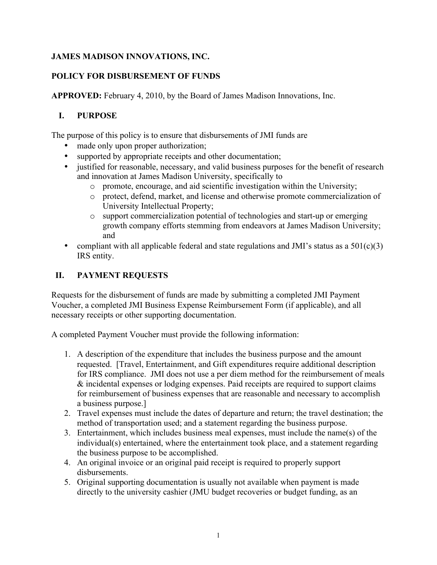# **JAMES MADISON INNOVATIONS, INC.**

# **POLICY FOR DISBURSEMENT OF FUNDS**

**APPROVED:** February 4, 2010, by the Board of James Madison Innovations, Inc.

#### **I. PURPOSE**

The purpose of this policy is to ensure that disbursements of JMI funds are

- made only upon proper authorization;
- supported by appropriate receipts and other documentation;
- justified for reasonable, necessary, and valid business purposes for the benefit of research and innovation at James Madison University, specifically to
	- o promote, encourage, and aid scientific investigation within the University;
	- o protect, defend, market, and license and otherwise promote commercialization of University Intellectual Property;
	- o support commercialization potential of technologies and start-up or emerging growth company efforts stemming from endeavors at James Madison University; and
- compliant with all applicable federal and state regulations and JMI's status as a  $501(c)(3)$ IRS entity.

# **II. PAYMENT REQUESTS**

Requests for the disbursement of funds are made by submitting a completed JMI Payment Voucher, a completed JMI Business Expense Reimbursement Form (if applicable), and all necessary receipts or other supporting documentation.

A completed Payment Voucher must provide the following information:

- 1. A description of the expenditure that includes the business purpose and the amount requested. [Travel, Entertainment, and Gift expenditures require additional description for IRS compliance. JMI does not use a per diem method for the reimbursement of meals & incidental expenses or lodging expenses. Paid receipts are required to support claims for reimbursement of business expenses that are reasonable and necessary to accomplish a business purpose.]
- 2. Travel expenses must include the dates of departure and return; the travel destination; the method of transportation used; and a statement regarding the business purpose.
- 3. Entertainment, which includes business meal expenses, must include the name(s) of the individual(s) entertained, where the entertainment took place, and a statement regarding the business purpose to be accomplished.
- 4. An original invoice or an original paid receipt is required to properly support disbursements.
- 5. Original supporting documentation is usually not available when payment is made directly to the university cashier (JMU budget recoveries or budget funding, as an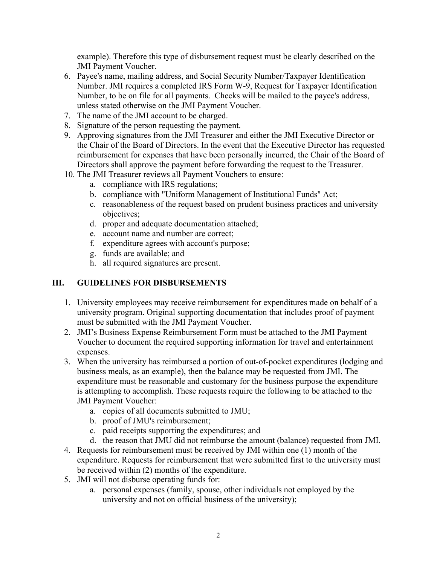example). Therefore this type of disbursement request must be clearly described on the JMI Payment Voucher.

- 6. Payee's name, mailing address, and Social Security Number/Taxpayer Identification Number. JMI requires a completed IRS Form W-9, Request for Taxpayer Identification Number, to be on file for all payments. Checks will be mailed to the payee's address, unless stated otherwise on the JMI Payment Voucher.
- 7. The name of the JMI account to be charged.
- 8. Signature of the person requesting the payment.
- 9. Approving signatures from the JMI Treasurer and either the JMI Executive Director or the Chair of the Board of Directors. In the event that the Executive Director has requested reimbursement for expenses that have been personally incurred, the Chair of the Board of Directors shall approve the payment before forwarding the request to the Treasurer.
- 10. The JMI Treasurer reviews all Payment Vouchers to ensure:
	- a. compliance with IRS regulations;
	- b. compliance with "Uniform Management of Institutional Funds" Act;
	- c. reasonableness of the request based on prudent business practices and university objectives;
	- d. proper and adequate documentation attached;
	- e. account name and number are correct;
	- f. expenditure agrees with account's purpose;
	- g. funds are available; and
	- h. all required signatures are present.

#### **III. GUIDELINES FOR DISBURSEMENTS**

- 1. University employees may receive reimbursement for expenditures made on behalf of a university program. Original supporting documentation that includes proof of payment must be submitted with the JMI Payment Voucher.
- 2. JMI's Business Expense Reimbursement Form must be attached to the JMI Payment Voucher to document the required supporting information for travel and entertainment expenses.
- 3. When the university has reimbursed a portion of out-of-pocket expenditures (lodging and business meals, as an example), then the balance may be requested from JMI. The expenditure must be reasonable and customary for the business purpose the expenditure is attempting to accomplish. These requests require the following to be attached to the JMI Payment Voucher:
	- a. copies of all documents submitted to JMU;
	- b. proof of JMU's reimbursement;
	- c. paid receipts supporting the expenditures; and
	- d. the reason that JMU did not reimburse the amount (balance) requested from JMI.
- 4. Requests for reimbursement must be received by JMI within one (1) month of the expenditure. Requests for reimbursement that were submitted first to the university must be received within (2) months of the expenditure.
- 5. JMI will not disburse operating funds for:
	- a. personal expenses (family, spouse, other individuals not employed by the university and not on official business of the university);